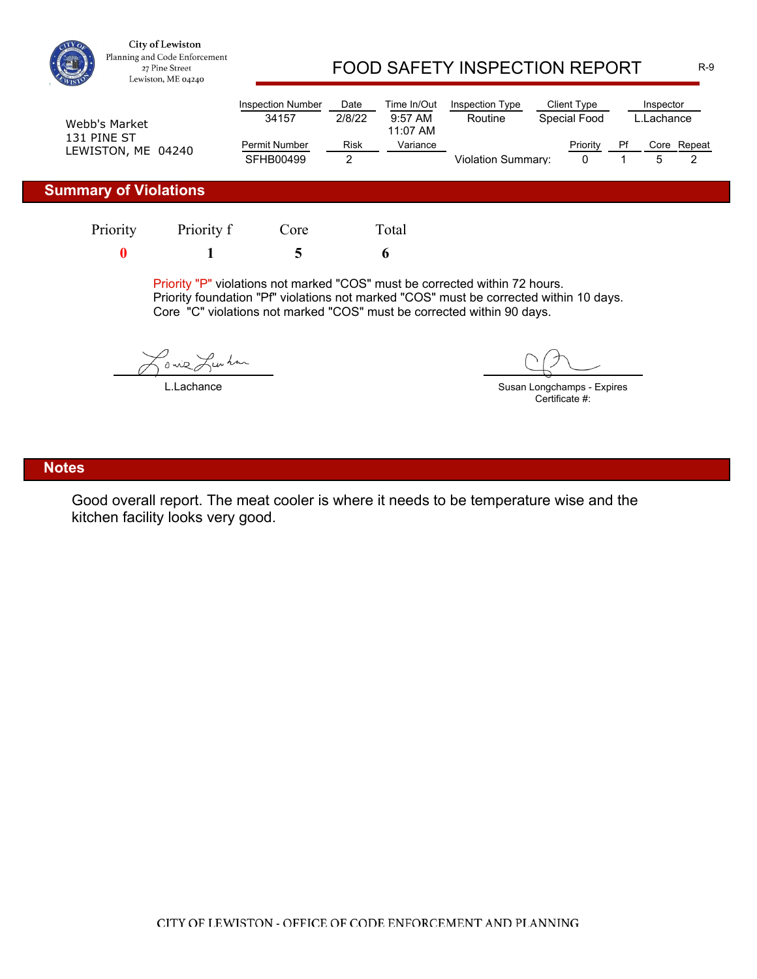

City of Lewiston Planning and Code Enforcement 27 Pine Street Lewiston, ME 04240

## FOOD SAFETY INSPECTION REPORT R-9

| Webb's Market                     | <b>Inspection Number</b><br>34157        | Date<br>2/8/22 | Time In/Out<br>$9:57$ AM<br>11:07 AM | Inspection Type<br>Routine | Client Type<br>Special Food |    | Inspector<br>L.Lachance_ |        |
|-----------------------------------|------------------------------------------|----------------|--------------------------------------|----------------------------|-----------------------------|----|--------------------------|--------|
| 131 PINE ST<br>LEWISTON, ME 04240 | <b>Permit Number</b><br><b>SFHB00499</b> | Risk           | Variance                             | Violation Summarv:         | Priority                    | Pf | Core                     | Repeat |

## **Summary of Violations**

| Priority | Priority f | Core | Total |
|----------|------------|------|-------|
|          |            |      |       |

Priority "P" violations not marked "COS" must be corrected within 72 hours. Priority foundation "Pf" violations not marked "COS" must be corrected within 10 days. Core "C" violations not marked "COS" must be corrected within 90 days.

o wie Lunhan

L.Lachance

Susan Longchamps - Expires Certificate #:

#### **Notes**

Good overall report. The meat cooler is where it needs to be temperature wise and the kitchen facility looks very good.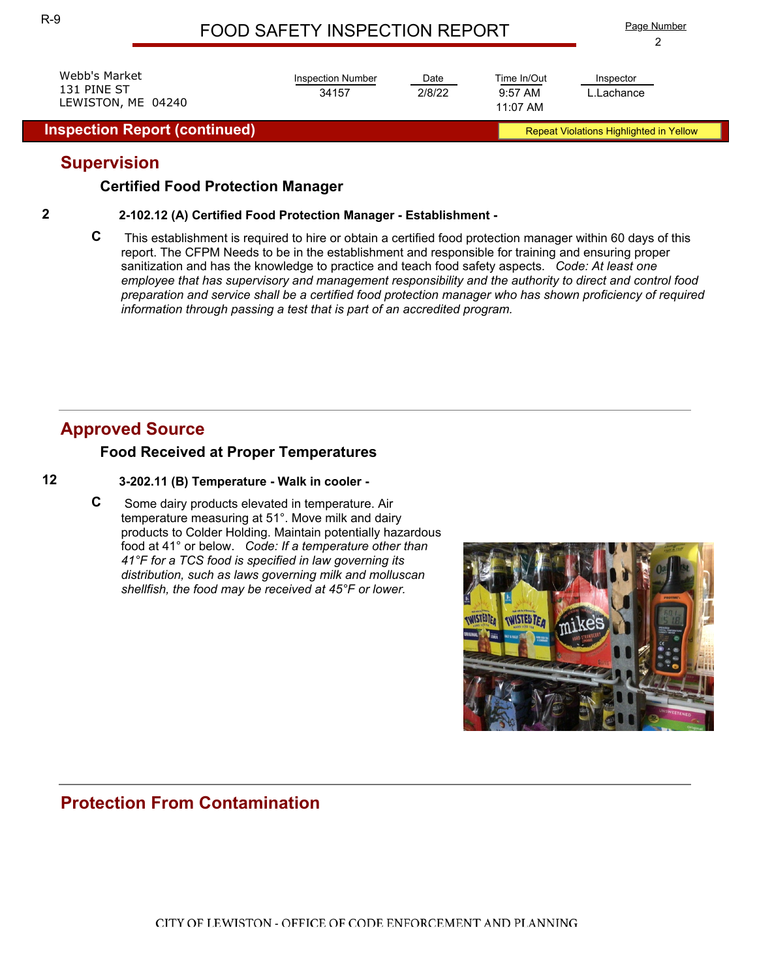| LEWISTON, ME 04240<br><b>Inspection Report (continued)</b> |                          |        | 11:07 AM    | <b>Repeat Violations Highlighted in Yellow</b> |  |
|------------------------------------------------------------|--------------------------|--------|-------------|------------------------------------------------|--|
| Webb's Market                                              | <b>Inspection Number</b> | Date   | Time In/Out | Inspector                                      |  |
| 131 PINE ST                                                | 34157                    | 2/8/22 | $9:57$ AM   | L.Lachance                                     |  |

## **Supervision**

### **Certified Food Protection Manager**

#### **2 2-102.12 (A) Certified Food Protection Manager - Establishment -**

**C** This establishment is required to hire or obtain a certified food protection manager within 60 days of this report. The CFPM Needs to be in the establishment and responsible for training and ensuring proper sanitization and has the knowledge to practice and teach food safety aspects. *Code: At least one employee that has supervisory and management responsibility and the authority to direct and control food preparation and service shall be a certified food protection manager who has shown proficiency of required information through passing a test that is part of an accredited program.* 

## **Approved Source**

### **Food Received at Proper Temperatures**

#### **12 3-202.11 (B) Temperature - Walk in cooler -**

**C** Some dairy products elevated in temperature. Air temperature measuring at 51°. Move milk and dairy products to Colder Holding. Maintain potentially hazardous food at 41° or below. *Code: If a temperature other than 41°F for a TCS food is specified in law governing its distribution, such as laws governing milk and molluscan shellfish, the food may be received at 45°F or lower.* 



## **Protection From Contamination**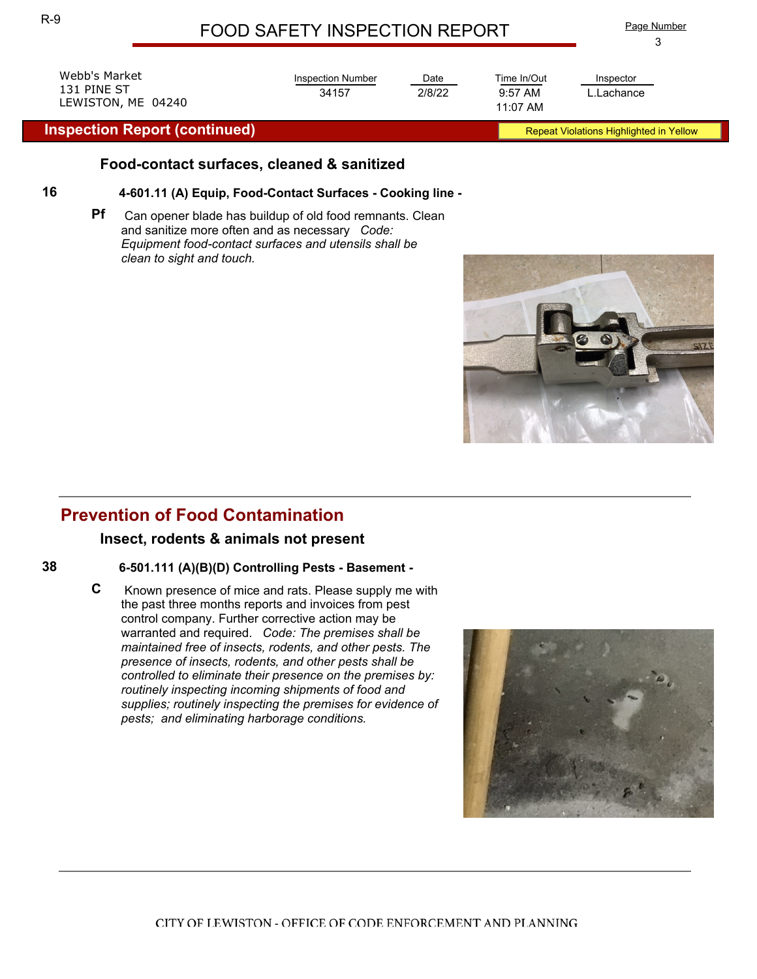| ٠<br>f,<br>٥ |
|--------------|
| I<br>I       |
| ٠            |

| Webb's Market<br>131 PINE ST<br>LEWISTON, ME 04240 | <b>Inspection Number</b><br>34157                                                                        | Date<br>2/8/22 | Time In/Out<br>$9:57$ AM<br>11:07 AM | Inspector<br>L.Lachance                 |  |
|----------------------------------------------------|----------------------------------------------------------------------------------------------------------|----------------|--------------------------------------|-----------------------------------------|--|
| <b>Inspection Report (continued)</b>               |                                                                                                          |                |                                      | Repeat Violations Highlighted in Yellow |  |
| 16                                                 | Food-contact surfaces, cleaned & sanitized<br>4-601.11 (A) Equip, Food-Contact Surfaces - Cooking line - |                |                                      |                                         |  |

**Pf** Can opener blade has buildup of old food remnants. Clean and sanitize more often and as necessary *Code: Equipment food-contact surfaces and utensils shall be clean to sight and touch.* 



#### **Insect, rodents & animals not present**

#### **38 6-501.111 (A)(B)(D) Controlling Pests - Basement -**

**C** Known presence of mice and rats. Please supply me with the past three months reports and invoices from pest control company. Further corrective action may be warranted and required. *Code: The premises shall be maintained free of insects, rodents, and other pests. The presence of insects, rodents, and other pests shall be controlled to eliminate their presence on the premises by: routinely inspecting incoming shipments of food and supplies; routinely inspecting the premises for evidence of pests; and eliminating harborage conditions.* 

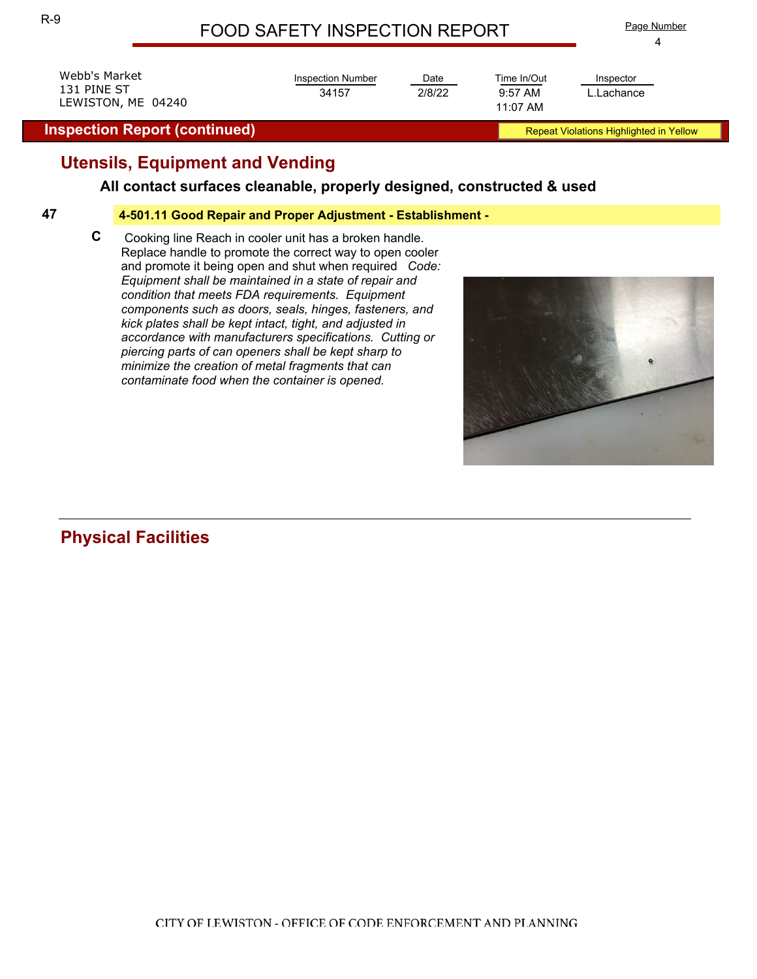Date

2/8/22 9:57 AM

Time In/Out

Inspection Number

34157

Webb's Market 131 PINE ST LEWISTON, ME 04240

**Inspection Report (continued) Report (continued) Repeat Violations Highlighted in Yellow** 

## **Utensils, Equipment and Vending**

## **All contact surfaces cleanable, properly designed, constructed & used**

#### **47 4-501.11 Good Repair and Proper Adjustment - Establishment -**

**C** Cooking line Reach in cooler unit has a broken handle. Replace handle to promote the correct way to open cooler and promote it being open and shut when required *Code: Equipment shall be maintained in a state of repair and condition that meets FDA requirements. Equipment components such as doors, seals, hinges, fasteners, and kick plates shall be kept intact, tight, and adjusted in accordance with manufacturers specifications. Cutting or piercing parts of can openers shall be kept sharp to minimize the creation of metal fragments that can contaminate food when the container is opened.* 

# **Physical Facilities**



4 Page Number

11:07 AM

L.Lachance Inspector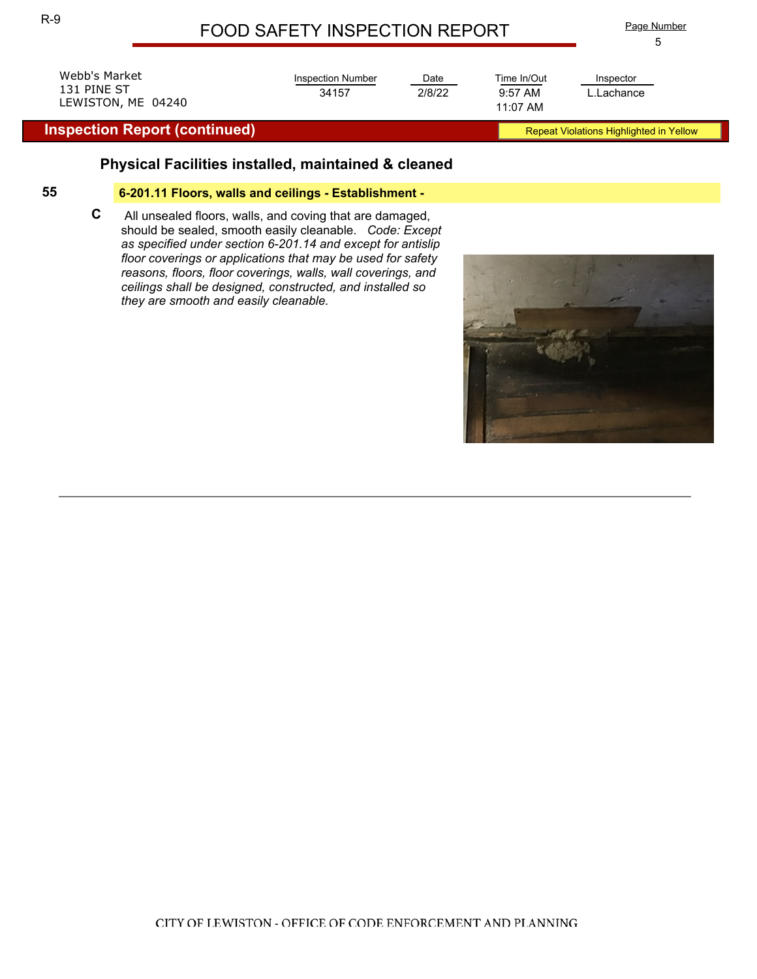Date

2/8/22 9:57 AM

Time In/Out

11:07 AM

Inspection Number

34157



#### **Inspection Report (continued) Report (continued) Repeat Violations Highlighted in Yellow**

## **Physical Facilities installed, maintained & cleaned**

#### **55 6-201.11 Floors, walls and ceilings - Establishment -**

**C** All unsealed floors, walls, and coving that are damaged, should be sealed, smooth easily cleanable. *Code: Except as specified under section 6-201.14 and except for antislip floor coverings or applications that may be used for safety reasons, floors, floor coverings, walls, wall coverings, and ceilings shall be designed, constructed, and installed so they are smooth and easily cleanable.*



L.Lachance Inspector

5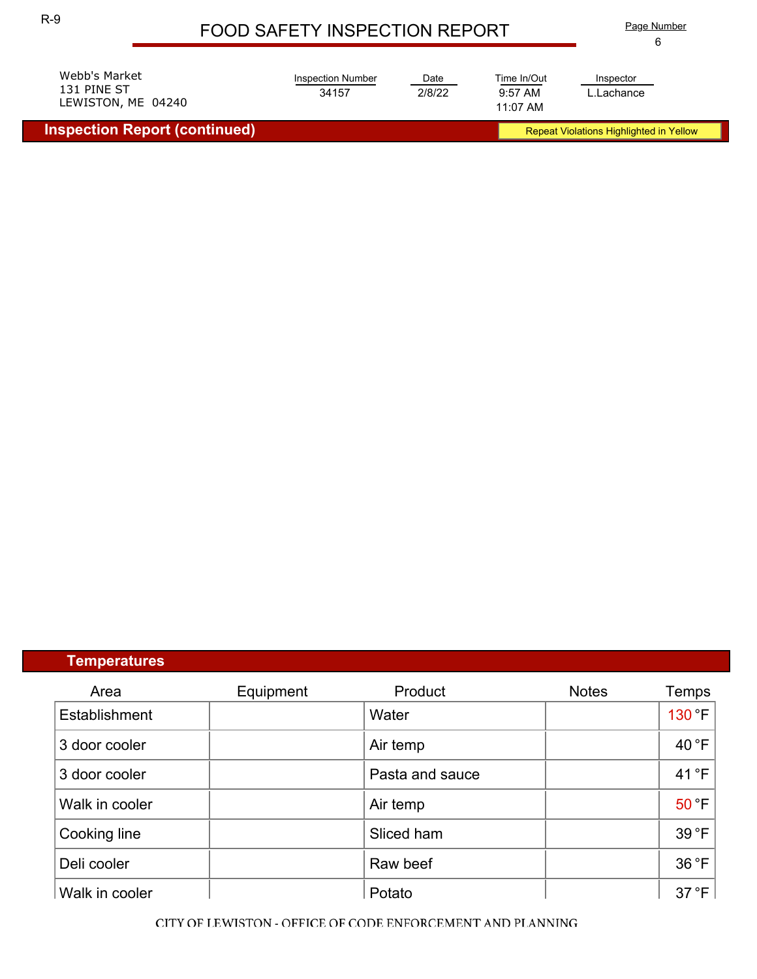6 Page Number

| LEWISTON, ME 04240 | Webb's Market | Inspection Number | Date   | Time In/Out | Inspector  |
|--------------------|---------------|-------------------|--------|-------------|------------|
| 11:07 AM           | 131 PINE ST   | 34157             | 2/8/22 | $9:57$ AM   | L.Lachance |

**Inspection Report (continued) Repeat Violations Highlighted in Yellow** Repeat Violations Highlighted in Yellow

## **Temperatures**

| Area           | Equipment | Product         | <b>Notes</b> | Temps  |
|----------------|-----------|-----------------|--------------|--------|
| Establishment  |           | Water           |              | 130 °F |
| 3 door cooler  |           | Air temp        |              | 40 °F  |
| 3 door cooler  |           | Pasta and sauce |              | 41°F   |
| Walk in cooler |           | Air temp        |              | 50 °F  |
| Cooking line   |           | Sliced ham      |              | 39 °F  |
| Deli cooler    |           | Raw beef        |              | 36 °F  |
| Walk in cooler |           | Potato          |              | 37 °F  |

CITY OF LEWISTON - OFFICE OF CODE ENFORCEMENT AND PLANNING